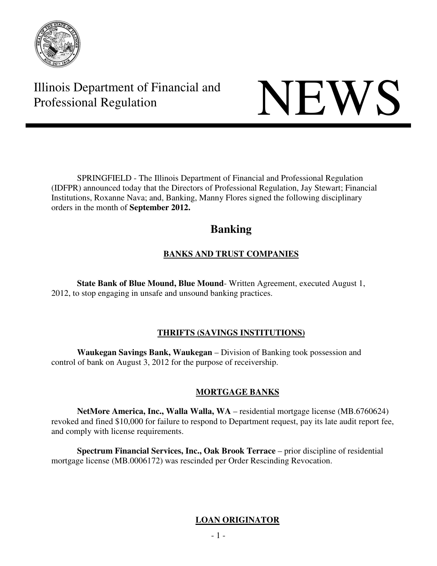

Illinois Department of Financial and Illinois Department of Financial and<br>Professional Regulation

 SPRINGFIELD - The Illinois Department of Financial and Professional Regulation (IDFPR) announced today that the Directors of Professional Regulation, Jay Stewart; Financial Institutions, Roxanne Nava; and, Banking, Manny Flores signed the following disciplinary orders in the month of **September 2012.**

# **Banking**

# **BANKS AND TRUST COMPANIES**

**State Bank of Blue Mound, Blue Mound**- Written Agreement, executed August 1, 2012, to stop engaging in unsafe and unsound banking practices.

# **THRIFTS (SAVINGS INSTITUTIONS)**

**Waukegan Savings Bank, Waukegan** – Division of Banking took possession and control of bank on August 3, 2012 for the purpose of receivership.

# **MORTGAGE BANKS**

**NetMore America, Inc., Walla Walla, WA** – residential mortgage license (MB.6760624) revoked and fined \$10,000 for failure to respond to Department request, pay its late audit report fee, and comply with license requirements.

**Spectrum Financial Services, Inc., Oak Brook Terrace** – prior discipline of residential mortgage license (MB.0006172) was rescinded per Order Rescinding Revocation.

# **LOAN ORIGINATOR**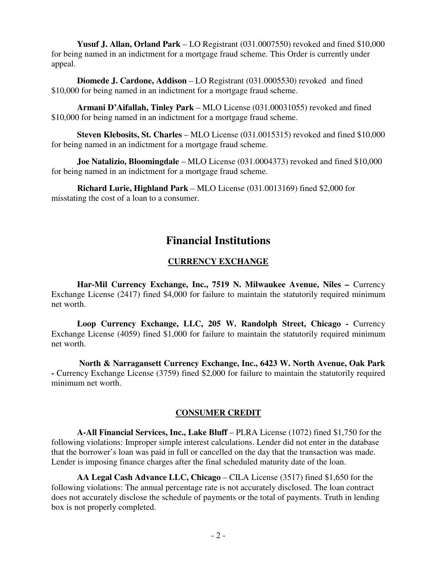**Yusuf J. Allan, Orland Park** – LO Registrant (031.0007550) revoked and fined \$10,000 for being named in an indictment for a mortgage fraud scheme. This Order is currently under appeal.

**Diomede J. Cardone, Addison** – LO Registrant (031.0005530) revoked and fined \$10,000 for being named in an indictment for a mortgage fraud scheme.

**Armani D'Aifallah, Tinley Park** – MLO License (031.00031055) revoked and fined \$10,000 for being named in an indictment for a mortgage fraud scheme.

**Steven Klebosits, St. Charles** – MLO License (031.0015315) revoked and fined \$10,000 for being named in an indictment for a mortgage fraud scheme.

**Joe Natalizio, Bloomingdale** – MLO License (031.0004373) revoked and fined \$10,000 for being named in an indictment for a mortgage fraud scheme.

**Richard Lurie, Highland Park** – MLO License (031.0013169) fined \$2,000 for misstating the cost of a loan to a consumer.

# **Financial Institutions**

## **CURRENCY EXCHANGE**

 **Har-Mil Currency Exchange, Inc., 7519 N. Milwaukee Avenue, Niles –** Currency Exchange License (2417) fined \$4,000 for failure to maintain the statutorily required minimum net worth.

Loop Currency Exchange, LLC, 205 W. Randolph Street, Chicago - Currency Exchange License (4059) fined \$1,000 for failure to maintain the statutorily required minimum net worth.

 **North & Narragansett Currency Exchange, Inc., 6423 W. North Avenue, Oak Park -** Currency Exchange License (3759) fined \$2,000 for failure to maintain the statutorily required minimum net worth.

## **CONSUMER CREDIT**

 **A-All Financial Services, Inc., Lake Bluff** – PLRA License (1072) fined \$1,750 for the following violations: Improper simple interest calculations. Lender did not enter in the database that the borrower's loan was paid in full or cancelled on the day that the transaction was made. Lender is imposing finance charges after the final scheduled maturity date of the loan.

 **AA Legal Cash Advance LLC, Chicago** – CILA License (3517) fined \$1,650 for the following violations: The annual percentage rate is not accurately disclosed. The loan contract does not accurately disclose the schedule of payments or the total of payments. Truth in lending box is not properly completed.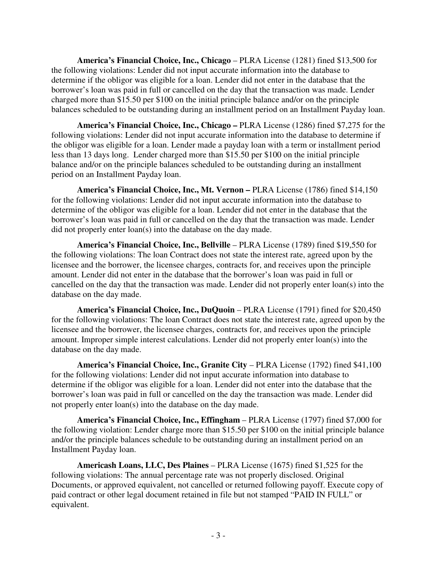**America's Financial Choice, Inc., Chicago** – PLRA License (1281) fined \$13,500 for the following violations: Lender did not input accurate information into the database to determine if the obligor was eligible for a loan. Lender did not enter in the database that the borrower's loan was paid in full or cancelled on the day that the transaction was made. Lender charged more than \$15.50 per \$100 on the initial principle balance and/or on the principle balances scheduled to be outstanding during an installment period on an Installment Payday loan.

 **America's Financial Choice, Inc., Chicago –** PLRA License (1286) fined \$7,275 for the following violations: Lender did not input accurate information into the database to determine if the obligor was eligible for a loan. Lender made a payday loan with a term or installment period less than 13 days long. Lender charged more than \$15.50 per \$100 on the initial principle balance and/or on the principle balances scheduled to be outstanding during an installment period on an Installment Payday loan.

 **America's Financial Choice, Inc., Mt. Vernon –** PLRA License (1786) fined \$14,150 for the following violations: Lender did not input accurate information into the database to determine of the obligor was eligible for a loan. Lender did not enter in the database that the borrower's loan was paid in full or cancelled on the day that the transaction was made. Lender did not properly enter loan(s) into the database on the day made.

 **America's Financial Choice, Inc., Bellville** – PLRA License (1789) fined \$19,550 for the following violations: The loan Contract does not state the interest rate, agreed upon by the licensee and the borrower, the licensee charges, contracts for, and receives upon the principle amount. Lender did not enter in the database that the borrower's loan was paid in full or cancelled on the day that the transaction was made. Lender did not properly enter loan(s) into the database on the day made.

 **America's Financial Choice, Inc., DuQuoin** – PLRA License (1791) fined for \$20,450 for the following violations: The loan Contract does not state the interest rate, agreed upon by the licensee and the borrower, the licensee charges, contracts for, and receives upon the principle amount. Improper simple interest calculations. Lender did not properly enter loan(s) into the database on the day made.

 **America's Financial Choice, Inc., Granite City** – PLRA License (1792) fined \$41,100 for the following violations: Lender did not input accurate information into database to determine if the obligor was eligible for a loan. Lender did not enter into the database that the borrower's loan was paid in full or cancelled on the day the transaction was made. Lender did not properly enter loan(s) into the database on the day made.

 **America's Financial Choice, Inc., Effingham** – PLRA License (1797) fined \$7,000 for the following violation: Lender charge more than \$15.50 per \$100 on the initial principle balance and/or the principle balances schedule to be outstanding during an installment period on an Installment Payday loan.

 **Americash Loans, LLC, Des Plaines** – PLRA License (1675) fined \$1,525 for the following violations: The annual percentage rate was not properly disclosed. Original Documents, or approved equivalent, not cancelled or returned following payoff. Execute copy of paid contract or other legal document retained in file but not stamped "PAID IN FULL" or equivalent.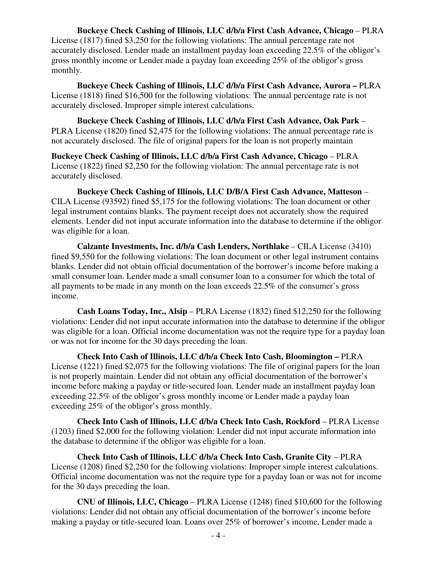#### Buckeye Check Cashing of Illinois, LLC d/b/a First Cash Advance, Chicago – PLRA

License (1817) fined \$3,250 for the following violations: The annual percentage rate not accurately disclosed. Lender made an installment payday loan exceeding 22.5% of the obligor's gross monthly income or Lender made a payday loan exceeding 25% of the obligor's gross monthly.

 **Buckeye Check Cashing of Illinois, LLC d/b/a First Cash Advance, Aurora –** PLRA License (1818) fined \$16,500 for the following violations: The annual percentage rate is not accurately disclosed. Improper simple interest calculations.

 **Buckeye Check Cashing of Illinois, LLC d/b/a First Cash Advance, Oak Park** – PLRA License (1820) fined \$2,475 for the following violations: The annual percentage rate is not accurately disclosed. The file of original papers for the loan is not properly maintain

**Buckeye Check Cashing of Illinois, LLC d/b/a First Cash Advance, Chicago** – PLRA License (1822) fined \$2,250 for the following violation: The annual percentage rate is not accurately disclosed.

 **Buckeye Check Cashing of Illinois, LLC D/B/A First Cash Advance, Matteson** – CILA License (93592) fined \$5,175 for the following violations: The loan document or other legal instrument contains blanks. The payment receipt does not accurately show the required elements. Lender did not input accurate information into the database to determine if the obligor was eligible for a loan.

 **Calzante Investments, Inc. d/b/a Cash Lenders, Northlake** – CILA License (3410) fined \$9,550 for the following violations: The loan document or other legal instrument contains blanks. Lender did not obtain official documentation of the borrower's income before making a small consumer loan. Lender made a small consumer loan to a consumer for which the total of all payments to be made in any month on the loan exceeds 22.5% of the consumer's gross income.

 **Cash Loans Today, Inc., Alsip** – PLRA License (1832) fined \$12,250 for the following violations: Lender did not input accurate information into the database to determine if the obligor was eligible for a loan. Official income documentation was not the require type for a payday loan or was not for income for the 30 days preceding the loan.

 **Check Into Cash of Illinois, LLC d/b/a Check Into Cash, Bloomington –** PLRA License (1221) fined \$2,075 for the following violations: The file of original papers for the loan is not properly maintain. Lender did not obtain any official documentation of the borrower's income before making a payday or title-secured loan. Lender made an installment payday loan exceeding 22.5% of the obligor's gross monthly income or Lender made a payday loan exceeding 25% of the obligor's gross monthly.

 **Check Into Cash of Illinois, LLC d/b/a Check Into Cash, Rockford** – PLRA License (1203) fined \$2,000 for the following violation: Lender did not input accurate information into the database to determine if the obligor was eligible for a loan.

 **Check Into Cash of Illinois, LLC d/b/a Check Into Cash, Granite City** – PLRA License (1208) fined \$2,250 for the following violations: Improper simple interest calculations. Official income documentation was not the require type for a payday loan or was not for income for the 30 days preceding the loan.

 **CNU of Illinois, LLC, Chicago** – PLRA License (1248) fined \$10,600 for the following violations: Lender did not obtain any official documentation of the borrower's income before making a payday or title-secured loan. Loans over 25% of borrower's income, Lender made a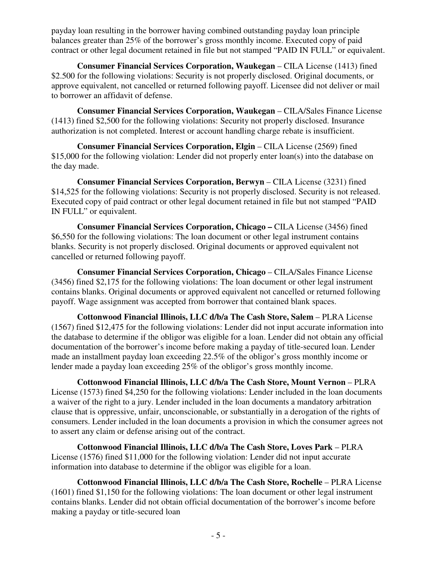payday loan resulting in the borrower having combined outstanding payday loan principle balances greater than 25% of the borrower's gross monthly income. Executed copy of paid contract or other legal document retained in file but not stamped "PAID IN FULL" or equivalent.

 **Consumer Financial Services Corporation, Waukegan** – CILA License (1413) fined \$2.500 for the following violations: Security is not properly disclosed. Original documents, or approve equivalent, not cancelled or returned following payoff. Licensee did not deliver or mail to borrower an affidavit of defense.

 **Consumer Financial Services Corporation, Waukegan** – CILA/Sales Finance License (1413) fined \$2,500 for the following violations: Security not properly disclosed. Insurance authorization is not completed. Interest or account handling charge rebate is insufficient.

**Consumer Financial Services Corporation, Elgin – CILA License (2569) fined** \$15,000 for the following violation: Lender did not properly enter loan(s) into the database on the day made.

 **Consumer Financial Services Corporation, Berwyn** – CILA License (3231) fined \$14,525 for the following violations: Security is not properly disclosed. Security is not released. Executed copy of paid contract or other legal document retained in file but not stamped "PAID IN FULL" or equivalent.

 **Consumer Financial Services Corporation, Chicago –** CILA License (3456) fined \$6,550 for the following violations: The loan document or other legal instrument contains blanks. Security is not properly disclosed. Original documents or approved equivalent not cancelled or returned following payoff.

 **Consumer Financial Services Corporation, Chicago** – CILA/Sales Finance License (3456) fined \$2,175 for the following violations: The loan document or other legal instrument contains blanks. Original documents or approved equivalent not cancelled or returned following payoff. Wage assignment was accepted from borrower that contained blank spaces.

 **Cottonwood Financial Illinois, LLC d/b/a The Cash Store, Salem** – PLRA License (1567) fined \$12,475 for the following violations: Lender did not input accurate information into the database to determine if the obligor was eligible for a loan. Lender did not obtain any official documentation of the borrower's income before making a payday of title-secured loan. Lender made an installment payday loan exceeding 22.5% of the obligor's gross monthly income or lender made a payday loan exceeding 25% of the obligor's gross monthly income.

 **Cottonwood Financial Illinois, LLC d/b/a The Cash Store, Mount Vernon** – PLRA License (1573) fined \$4,250 for the following violations: Lender included in the loan documents a waiver of the right to a jury. Lender included in the loan documents a mandatory arbitration clause that is oppressive, unfair, unconscionable, or substantially in a derogation of the rights of consumers. Lender included in the loan documents a provision in which the consumer agrees not to assert any claim or defense arising out of the contract.

 **Cottonwood Financial Illinois, LLC d/b/a The Cash Store, Loves Park** – PLRA License (1576) fined \$11,000 for the following violation: Lender did not input accurate information into database to determine if the obligor was eligible for a loan.

**Cottonwood Financial Illinois, LLC d/b/a The Cash Store, Rochelle – PLRA License** (1601) fined \$1,150 for the following violations: The loan document or other legal instrument contains blanks. Lender did not obtain official documentation of the borrower's income before making a payday or title-secured loan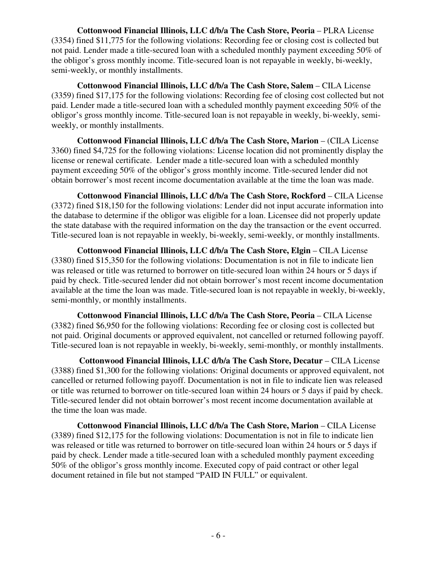**Cottonwood Financial Illinois, LLC d/b/a The Cash Store, Peoria - PLRA License** (3354) fined \$11,775 for the following violations: Recording fee or closing cost is collected but not paid. Lender made a title-secured loan with a scheduled monthly payment exceeding 50% of the obligor's gross monthly income. Title-secured loan is not repayable in weekly, bi-weekly, semi-weekly, or monthly installments.

 **Cottonwood Financial Illinois, LLC d/b/a The Cash Store, Salem** – CILA License (3359) fined \$17,175 for the following violations: Recording fee of closing cost collected but not paid. Lender made a title-secured loan with a scheduled monthly payment exceeding 50% of the obligor's gross monthly income. Title-secured loan is not repayable in weekly, bi-weekly, semiweekly, or monthly installments.

 **Cottonwood Financial Illinois, LLC d/b/a The Cash Store, Marion** – (CILA License 3360) fined \$4,725 for the following violations: License location did not prominently display the license or renewal certificate. Lender made a title-secured loan with a scheduled monthly payment exceeding 50% of the obligor's gross monthly income. Title-secured lender did not obtain borrower's most recent income documentation available at the time the loan was made.

 **Cottonwood Financial Illinois, LLC d/b/a The Cash Store, Rockford** – CILA License (3372) fined \$18,150 for the following violations: Lender did not input accurate information into the database to determine if the obligor was eligible for a loan. Licensee did not properly update the state database with the required information on the day the transaction or the event occurred. Title-secured loan is not repayable in weekly, bi-weekly, semi-weekly, or monthly installments.

**Cottonwood Financial Illinois, LLC d/b/a The Cash Store, Elgin – CILA License** (3380) fined \$15,350 for the following violations: Documentation is not in file to indicate lien was released or title was returned to borrower on title-secured loan within 24 hours or 5 days if paid by check. Title-secured lender did not obtain borrower's most recent income documentation available at the time the loan was made. Title-secured loan is not repayable in weekly, bi-weekly, semi-monthly, or monthly installments.

**Cottonwood Financial Illinois, LLC d/b/a The Cash Store, Peoria – CILA License** (3382) fined \$6,950 for the following violations: Recording fee or closing cost is collected but not paid. Original documents or approved equivalent, not cancelled or returned following payoff. Title-secured loan is not repayable in weekly, bi-weekly, semi-monthly, or monthly installments.

Cottonwood Financial Illinois, LLC d/b/a The Cash Store, Decatur – CILA License (3388) fined \$1,300 for the following violations: Original documents or approved equivalent, not cancelled or returned following payoff. Documentation is not in file to indicate lien was released or title was returned to borrower on title-secured loan within 24 hours or 5 days if paid by check. Title-secured lender did not obtain borrower's most recent income documentation available at the time the loan was made.

**Cottonwood Financial Illinois, LLC d/b/a The Cash Store, Marion – CILA License** (3389) fined \$12,175 for the following violations: Documentation is not in file to indicate lien was released or title was returned to borrower on title-secured loan within 24 hours or 5 days if paid by check. Lender made a title-secured loan with a scheduled monthly payment exceeding 50% of the obligor's gross monthly income. Executed copy of paid contract or other legal document retained in file but not stamped "PAID IN FULL" or equivalent.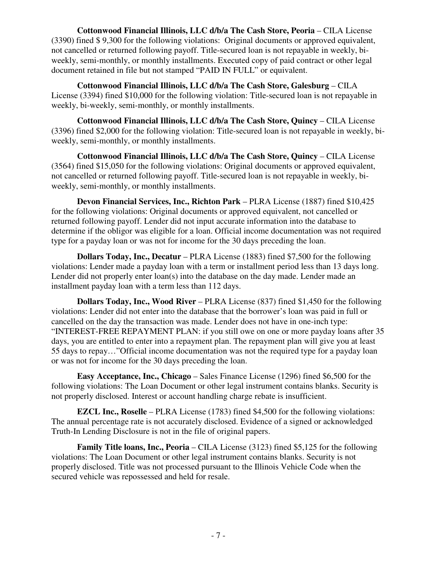**Cottonwood Financial Illinois, LLC d/b/a The Cash Store, Peoria** – CILA License (3390) fined \$ 9,300 for the following violations: Original documents or approved equivalent, not cancelled or returned following payoff. Title-secured loan is not repayable in weekly, biweekly, semi-monthly, or monthly installments. Executed copy of paid contract or other legal document retained in file but not stamped "PAID IN FULL" or equivalent.

 **Cottonwood Financial Illinois, LLC d/b/a The Cash Store, Galesburg** – CILA License (3394) fined \$10,000 for the following violation: Title-secured loan is not repayable in weekly, bi-weekly, semi-monthly, or monthly installments.

 **Cottonwood Financial Illinois, LLC d/b/a The Cash Store, Quincy** – CILA License (3396) fined \$2,000 for the following violation: Title-secured loan is not repayable in weekly, biweekly, semi-monthly, or monthly installments.

 **Cottonwood Financial Illinois, LLC d/b/a The Cash Store, Quincy** – CILA License (3564) fined \$15,050 for the following violations: Original documents or approved equivalent, not cancelled or returned following payoff. Title-secured loan is not repayable in weekly, biweekly, semi-monthly, or monthly installments.

 **Devon Financial Services, Inc., Richton Park** – PLRA License (1887) fined \$10,425 for the following violations: Original documents or approved equivalent, not cancelled or returned following payoff. Lender did not input accurate information into the database to determine if the obligor was eligible for a loan. Official income documentation was not required type for a payday loan or was not for income for the 30 days preceding the loan.

 **Dollars Today, Inc., Decatur** – PLRA License (1883) fined \$7,500 for the following violations: Lender made a payday loan with a term or installment period less than 13 days long. Lender did not properly enter loan(s) into the database on the day made. Lender made an installment payday loan with a term less than 112 days.

 **Dollars Today, Inc., Wood River** – PLRA License (837) fined \$1,450 for the following violations: Lender did not enter into the database that the borrower's loan was paid in full or cancelled on the day the transaction was made. Lender does not have in one-inch type: "INTEREST-FREE REPAYMENT PLAN: if you still owe on one or more payday loans after 35 days, you are entitled to enter into a repayment plan. The repayment plan will give you at least 55 days to repay…"Official income documentation was not the required type for a payday loan or was not for income for the 30 days preceding the loan.

 **Easy Acceptance, Inc., Chicago** – Sales Finance License (1296) fined \$6,500 for the following violations: The Loan Document or other legal instrument contains blanks. Security is not properly disclosed. Interest or account handling charge rebate is insufficient.

**EZCL Inc., Roselle** – PLRA License (1783) fined \$4,500 for the following violations: The annual percentage rate is not accurately disclosed. Evidence of a signed or acknowledged Truth-In Lending Disclosure is not in the file of original papers.

 **Family Title loans, Inc., Peoria** – CILA License (3123) fined \$5,125 for the following violations: The Loan Document or other legal instrument contains blanks. Security is not properly disclosed. Title was not processed pursuant to the Illinois Vehicle Code when the secured vehicle was repossessed and held for resale.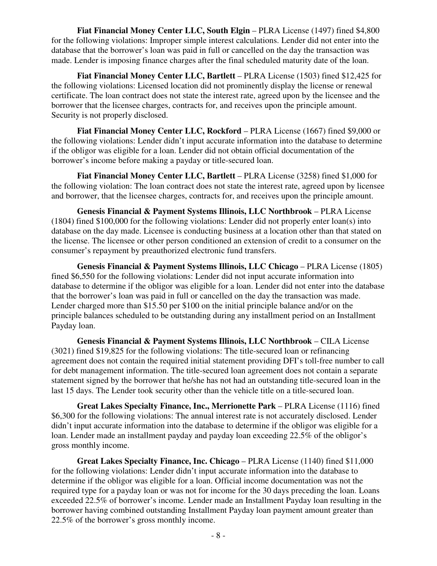**Fiat Financial Money Center LLC, South Elgin** – PLRA License (1497) fined \$4,800 for the following violations: Improper simple interest calculations. Lender did not enter into the database that the borrower's loan was paid in full or cancelled on the day the transaction was made. Lender is imposing finance charges after the final scheduled maturity date of the loan.

 **Fiat Financial Money Center LLC, Bartlett** – PLRA License (1503) fined \$12,425 for the following violations: Licensed location did not prominently display the license or renewal certificate. The loan contract does not state the interest rate, agreed upon by the licensee and the borrower that the licensee charges, contracts for, and receives upon the principle amount. Security is not properly disclosed.

**Fiat Financial Money Center LLC, Rockford – PLRA License (1667) fined \$9,000 or** the following violations: Lender didn't input accurate information into the database to determine if the obligor was eligible for a loan. Lender did not obtain official documentation of the borrower's income before making a payday or title-secured loan.

 **Fiat Financial Money Center LLC, Bartlett** – PLRA License (3258) fined \$1,000 for the following violation: The loan contract does not state the interest rate, agreed upon by licensee and borrower, that the licensee charges, contracts for, and receives upon the principle amount.

 **Genesis Financial & Payment Systems Illinois, LLC Northbrook** – PLRA License (1804) fined \$100,000 for the following violations: Lender did not properly enter loan(s) into database on the day made. Licensee is conducting business at a location other than that stated on the license. The licensee or other person conditioned an extension of credit to a consumer on the consumer's repayment by preauthorized electronic fund transfers.

**Genesis Financial & Payment Systems Illinois, LLC Chicago – PLRA License (1805)** fined \$6,550 for the following violations: Lender did not input accurate information into database to determine if the obligor was eligible for a loan. Lender did not enter into the database that the borrower's loan was paid in full or cancelled on the day the transaction was made. Lender charged more than \$15.50 per \$100 on the initial principle balance and/or on the principle balances scheduled to be outstanding during any installment period on an Installment Payday loan.

 **Genesis Financial & Payment Systems Illinois, LLC Northbrook** – CILA License (3021) fined \$19,825 for the following violations: The title-secured loan or refinancing agreement does not contain the required initial statement providing DFI's toll-free number to call for debt management information. The title-secured loan agreement does not contain a separate statement signed by the borrower that he/she has not had an outstanding title-secured loan in the last 15 days. The Lender took security other than the vehicle title on a title-secured loan.

 **Great Lakes Specialty Finance, Inc., Merrionette Park** – PLRA License (1116) fined \$6,300 for the following violations: The annual interest rate is not accurately disclosed. Lender didn't input accurate information into the database to determine if the obligor was eligible for a loan. Lender made an installment payday and payday loan exceeding 22.5% of the obligor's gross monthly income.

 **Great Lakes Specialty Finance, Inc. Chicago** – PLRA License (1140) fined \$11,000 for the following violations: Lender didn't input accurate information into the database to determine if the obligor was eligible for a loan. Official income documentation was not the required type for a payday loan or was not for income for the 30 days preceding the loan. Loans exceeded 22.5% of borrower's income. Lender made an Installment Payday loan resulting in the borrower having combined outstanding Installment Payday loan payment amount greater than 22.5% of the borrower's gross monthly income.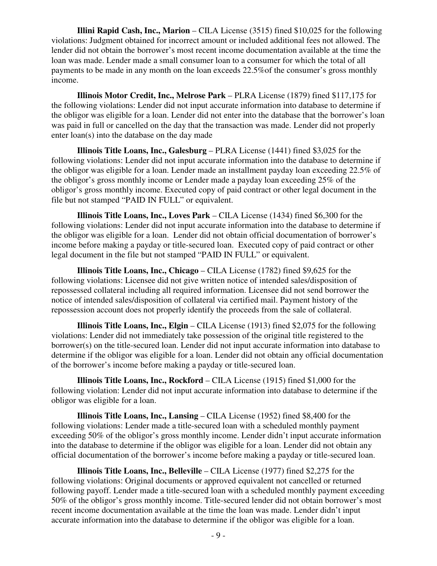**Illini Rapid Cash, Inc., Marion** – CILA License (3515) fined \$10,025 for the following violations: Judgment obtained for incorrect amount or included additional fees not allowed. The lender did not obtain the borrower's most recent income documentation available at the time the loan was made. Lender made a small consumer loan to a consumer for which the total of all payments to be made in any month on the loan exceeds 22.5%of the consumer's gross monthly income.

 **Illinois Motor Credit, Inc., Melrose Park** – PLRA License (1879) fined \$117,175 for the following violations: Lender did not input accurate information into database to determine if the obligor was eligible for a loan. Lender did not enter into the database that the borrower's loan was paid in full or cancelled on the day that the transaction was made. Lender did not properly enter loan(s) into the database on the day made

 **Illinois Title Loans, Inc., Galesburg** – PLRA License (1441) fined \$3,025 for the following violations: Lender did not input accurate information into the database to determine if the obligor was eligible for a loan. Lender made an installment payday loan exceeding 22.5% of the obligor's gross monthly income or Lender made a payday loan exceeding 25% of the obligor's gross monthly income. Executed copy of paid contract or other legal document in the file but not stamped "PAID IN FULL" or equivalent.

 **Illinois Title Loans, Inc., Loves Park** – CILA License (1434) fined \$6,300 for the following violations: Lender did not input accurate information into the database to determine if the obligor was eligible for a loan. Lender did not obtain official documentation of borrower's income before making a payday or title-secured loan. Executed copy of paid contract or other legal document in the file but not stamped "PAID IN FULL" or equivalent.

 **Illinois Title Loans, Inc., Chicago** – CILA License (1782) fined \$9,625 for the following violations: Licensee did not give written notice of intended sales/disposition of repossessed collateral including all required information. Licensee did not send borrower the notice of intended sales/disposition of collateral via certified mail. Payment history of the repossession account does not properly identify the proceeds from the sale of collateral.

**Illinois Title Loans, Inc., Elgin** – CILA License (1913) fined \$2,075 for the following violations: Lender did not immediately take possession of the original title registered to the borrower(s) on the title-secured loan. Lender did not input accurate information into database to determine if the obligor was eligible for a loan. Lender did not obtain any official documentation of the borrower's income before making a payday or title-secured loan.

 **Illinois Title Loans, Inc., Rockford** – CILA License (1915) fined \$1,000 for the following violation: Lender did not input accurate information into database to determine if the obligor was eligible for a loan.

 **Illinois Title Loans, Inc., Lansing** – CILA License (1952) fined \$8,400 for the following violations: Lender made a title-secured loan with a scheduled monthly payment exceeding 50% of the obligor's gross monthly income. Lender didn't input accurate information into the database to determine if the obligor was eligible for a loan. Lender did not obtain any official documentation of the borrower's income before making a payday or title-secured loan.

 **Illinois Title Loans, Inc., Belleville** – CILA License (1977) fined \$2,275 for the following violations: Original documents or approved equivalent not cancelled or returned following payoff. Lender made a title-secured loan with a scheduled monthly payment exceeding 50% of the obligor's gross monthly income. Title-secured lender did not obtain borrower's most recent income documentation available at the time the loan was made. Lender didn't input accurate information into the database to determine if the obligor was eligible for a loan.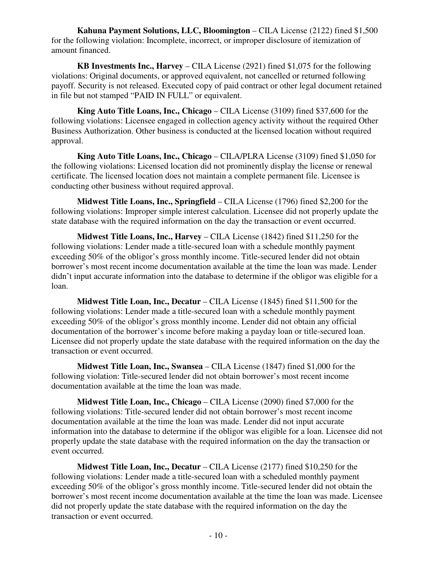**Kahuna Payment Solutions, LLC, Bloomington** – CILA License (2122) fined \$1,500 for the following violation: Incomplete, incorrect, or improper disclosure of itemization of amount financed.

 **KB Investments Inc., Harvey** – CILA License (2921) fined \$1,075 for the following violations: Original documents, or approved equivalent, not cancelled or returned following payoff. Security is not released. Executed copy of paid contract or other legal document retained in file but not stamped "PAID IN FULL" or equivalent.

 **King Auto Title Loans, Inc., Chicago** – CILA License (3109) fined \$37,600 for the following violations: Licensee engaged in collection agency activity without the required Other Business Authorization. Other business is conducted at the licensed location without required approval.

 **King Auto Title Loans, Inc., Chicago** – CILA/PLRA License (3109) fined \$1,050 for the following violations: Licensed location did not prominently display the license or renewal certificate. The licensed location does not maintain a complete permanent file. Licensee is conducting other business without required approval.

 **Midwest Title Loans, Inc., Springfield** – CILA License (1796) fined \$2,200 for the following violations: Improper simple interest calculation. Licensee did not properly update the state database with the required information on the day the transaction or event occurred.

 **Midwest Title Loans, Inc., Harvey** – CILA License (1842) fined \$11,250 for the following violations: Lender made a title-secured loan with a schedule monthly payment exceeding 50% of the obligor's gross monthly income. Title-secured lender did not obtain borrower's most recent income documentation available at the time the loan was made. Lender didn't input accurate information into the database to determine if the obligor was eligible for a loan.

 **Midwest Title Loan, Inc., Decatur** – CILA License (1845) fined \$11,500 for the following violations: Lender made a title-secured loan with a schedule monthly payment exceeding 50% of the obligor's gross monthly income. Lender did not obtain any official documentation of the borrower's income before making a payday loan or title-secured loan. Licensee did not properly update the state database with the required information on the day the transaction or event occurred.

 **Midwest Title Loan, Inc., Swansea** – CILA License (1847) fined \$1,000 for the following violation: Title-secured lender did not obtain borrower's most recent income documentation available at the time the loan was made.

 **Midwest Title Loan, Inc., Chicago** – CILA License (2090) fined \$7,000 for the following violations: Title-secured lender did not obtain borrower's most recent income documentation available at the time the loan was made. Lender did not input accurate information into the database to determine if the obligor was eligible for a loan. Licensee did not properly update the state database with the required information on the day the transaction or event occurred.

 **Midwest Title Loan, Inc., Decatur** – CILA License (2177) fined \$10,250 for the following violations: Lender made a title-secured loan with a scheduled monthly payment exceeding 50% of the obligor's gross monthly income. Title-secured lender did not obtain the borrower's most recent income documentation available at the time the loan was made. Licensee did not properly update the state database with the required information on the day the transaction or event occurred.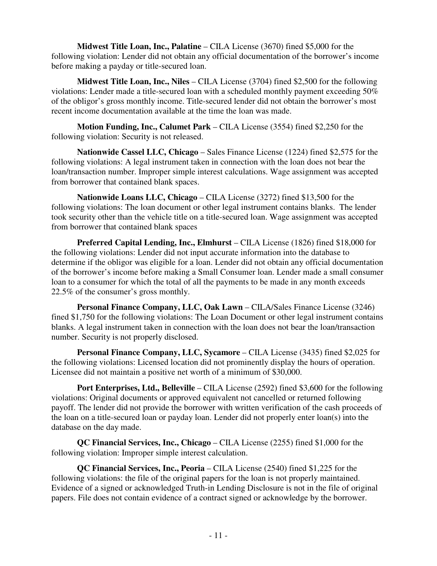**Midwest Title Loan, Inc., Palatine** – CILA License (3670) fined \$5,000 for the following violation: Lender did not obtain any official documentation of the borrower's income before making a payday or title-secured loan.

 **Midwest Title Loan, Inc., Niles** – CILA License (3704) fined \$2,500 for the following violations: Lender made a title-secured loan with a scheduled monthly payment exceeding 50% of the obligor's gross monthly income. Title-secured lender did not obtain the borrower's most recent income documentation available at the time the loan was made.

 **Motion Funding, Inc., Calumet Park** – CILA License (3554) fined \$2,250 for the following violation: Security is not released.

**Nationwide Cassel LLC, Chicago** – Sales Finance License (1224) fined \$2,575 for the following violations: A legal instrument taken in connection with the loan does not bear the loan/transaction number. Improper simple interest calculations. Wage assignment was accepted from borrower that contained blank spaces.

 **Nationwide Loans LLC, Chicago** – CILA License (3272) fined \$13,500 for the following violations: The loan document or other legal instrument contains blanks. The lender took security other than the vehicle title on a title-secured loan. Wage assignment was accepted from borrower that contained blank spaces

 **Preferred Capital Lending, Inc., Elmhurst** – CILA License (1826) fined \$18,000 for the following violations: Lender did not input accurate information into the database to determine if the obligor was eligible for a loan. Lender did not obtain any official documentation of the borrower's income before making a Small Consumer loan. Lender made a small consumer loan to a consumer for which the total of all the payments to be made in any month exceeds 22.5% of the consumer's gross monthly.

 **Personal Finance Company, LLC, Oak Lawn** – CILA/Sales Finance License (3246) fined \$1,750 for the following violations: The Loan Document or other legal instrument contains blanks. A legal instrument taken in connection with the loan does not bear the loan/transaction number. Security is not properly disclosed.

**Personal Finance Company, LLC, Sycamore – CILA License (3435) fined \$2,025 for** the following violations: Licensed location did not prominently display the hours of operation. Licensee did not maintain a positive net worth of a minimum of \$30,000.

**Port Enterprises, Ltd., Belleville** – CILA License (2592) fined \$3,600 for the following violations: Original documents or approved equivalent not cancelled or returned following payoff. The lender did not provide the borrower with written verification of the cash proceeds of the loan on a title-secured loan or payday loan. Lender did not properly enter loan(s) into the database on the day made.

 **QC Financial Services, Inc., Chicago** – CILA License (2255) fined \$1,000 for the following violation: Improper simple interest calculation.

 **QC Financial Services, Inc., Peoria** – CILA License (2540) fined \$1,225 for the following violations: the file of the original papers for the loan is not properly maintained. Evidence of a signed or acknowledged Truth-in Lending Disclosure is not in the file of original papers. File does not contain evidence of a contract signed or acknowledge by the borrower.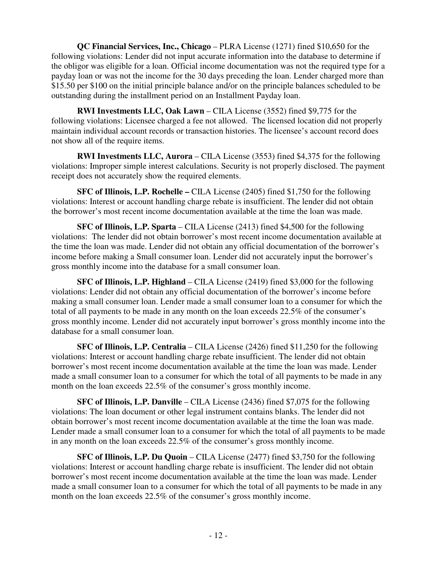**QC Financial Services, Inc., Chicago** – PLRA License (1271) fined \$10,650 for the following violations: Lender did not input accurate information into the database to determine if the obligor was eligible for a loan. Official income documentation was not the required type for a payday loan or was not the income for the 30 days preceding the loan. Lender charged more than \$15.50 per \$100 on the initial principle balance and/or on the principle balances scheduled to be outstanding during the installment period on an Installment Payday loan.

 **RWI Investments LLC, Oak Lawn** – CILA License (3552) fined \$9,775 for the following violations: Licensee charged a fee not allowed. The licensed location did not properly maintain individual account records or transaction histories. The licensee's account record does not show all of the require items.

 **RWI Investments LLC, Aurora** – CILA License (3553) fined \$4,375 for the following violations: Improper simple interest calculations. Security is not properly disclosed. The payment receipt does not accurately show the required elements.

 **SFC of Illinois, L.P. Rochelle –** CILA License (2405) fined \$1,750 for the following violations: Interest or account handling charge rebate is insufficient. The lender did not obtain the borrower's most recent income documentation available at the time the loan was made.

 **SFC of Illinois, L.P. Sparta** – CILA License (2413) fined \$4,500 for the following violations: The lender did not obtain borrower's most recent income documentation available at the time the loan was made. Lender did not obtain any official documentation of the borrower's income before making a Small consumer loan. Lender did not accurately input the borrower's gross monthly income into the database for a small consumer loan.

 **SFC of Illinois, L.P. Highland** – CILA License (2419) fined \$3,000 for the following violations: Lender did not obtain any official documentation of the borrower's income before making a small consumer loan. Lender made a small consumer loan to a consumer for which the total of all payments to be made in any month on the loan exceeds 22.5% of the consumer's gross monthly income. Lender did not accurately input borrower's gross monthly income into the database for a small consumer loan.

 **SFC of Illinois, L.P. Centralia** – CILA License (2426) fined \$11,250 for the following violations: Interest or account handling charge rebate insufficient. The lender did not obtain borrower's most recent income documentation available at the time the loan was made. Lender made a small consumer loan to a consumer for which the total of all payments to be made in any month on the loan exceeds 22.5% of the consumer's gross monthly income.

 **SFC of Illinois, L.P. Danville** – CILA License (2436) fined \$7,075 for the following violations: The loan document or other legal instrument contains blanks. The lender did not obtain borrower's most recent income documentation available at the time the loan was made. Lender made a small consumer loan to a consumer for which the total of all payments to be made in any month on the loan exceeds 22.5% of the consumer's gross monthly income.

 **SFC of Illinois, L.P. Du Quoin** – CILA License (2477) fined \$3,750 for the following violations: Interest or account handling charge rebate is insufficient. The lender did not obtain borrower's most recent income documentation available at the time the loan was made. Lender made a small consumer loan to a consumer for which the total of all payments to be made in any month on the loan exceeds 22.5% of the consumer's gross monthly income.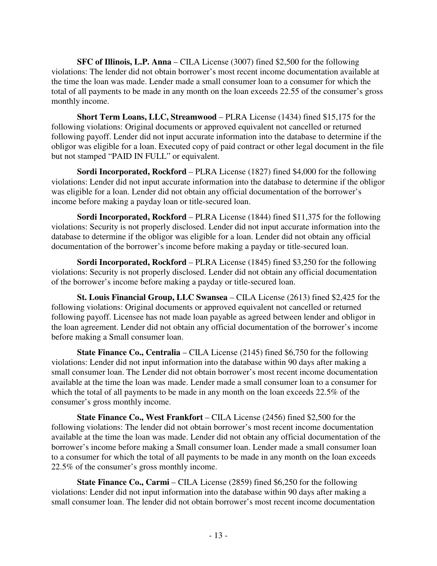**SFC of Illinois, L.P. Anna** – CILA License (3007) fined \$2,500 for the following violations: The lender did not obtain borrower's most recent income documentation available at the time the loan was made. Lender made a small consumer loan to a consumer for which the total of all payments to be made in any month on the loan exceeds 22.55 of the consumer's gross monthly income.

 **Short Term Loans, LLC, Streamwood** – PLRA License (1434) fined \$15,175 for the following violations: Original documents or approved equivalent not cancelled or returned following payoff. Lender did not input accurate information into the database to determine if the obligor was eligible for a loan. Executed copy of paid contract or other legal document in the file but not stamped "PAID IN FULL" or equivalent.

 **Sordi Incorporated, Rockford** – PLRA License (1827) fined \$4,000 for the following violations: Lender did not input accurate information into the database to determine if the obligor was eligible for a loan. Lender did not obtain any official documentation of the borrower's income before making a payday loan or title-secured loan.

 **Sordi Incorporated, Rockford** – PLRA License (1844) fined \$11,375 for the following violations: Security is not properly disclosed. Lender did not input accurate information into the database to determine if the obligor was eligible for a loan. Lender did not obtain any official documentation of the borrower's income before making a payday or title-secured loan.

 **Sordi Incorporated, Rockford** – PLRA License (1845) fined \$3,250 for the following violations: Security is not properly disclosed. Lender did not obtain any official documentation of the borrower's income before making a payday or title-secured loan.

 **St. Louis Financial Group, LLC Swansea** – CILA License (2613) fined \$2,425 for the following violations: Original documents or approved equivalent not cancelled or returned following payoff. Licensee has not made loan payable as agreed between lender and obligor in the loan agreement. Lender did not obtain any official documentation of the borrower's income before making a Small consumer loan.

 **State Finance Co., Centralia** – CILA License (2145) fined \$6,750 for the following violations: Lender did not input information into the database within 90 days after making a small consumer loan. The Lender did not obtain borrower's most recent income documentation available at the time the loan was made. Lender made a small consumer loan to a consumer for which the total of all payments to be made in any month on the loan exceeds 22.5% of the consumer's gross monthly income.

 **State Finance Co., West Frankfort** – CILA License (2456) fined \$2,500 for the following violations: The lender did not obtain borrower's most recent income documentation available at the time the loan was made. Lender did not obtain any official documentation of the borrower's income before making a Small consumer loan. Lender made a small consumer loan to a consumer for which the total of all payments to be made in any month on the loan exceeds 22.5% of the consumer's gross monthly income.

**State Finance Co., Carmi** – CILA License (2859) fined \$6,250 for the following violations: Lender did not input information into the database within 90 days after making a small consumer loan. The lender did not obtain borrower's most recent income documentation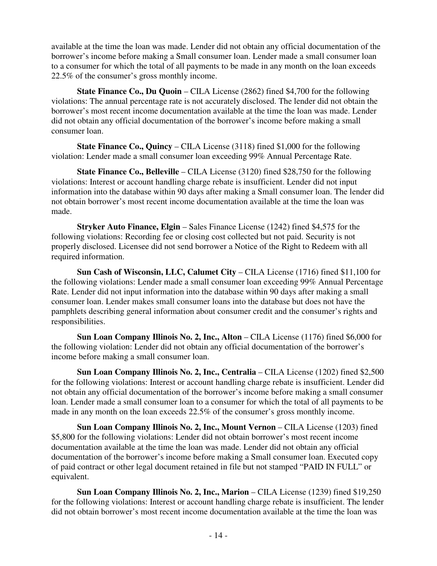available at the time the loan was made. Lender did not obtain any official documentation of the borrower's income before making a Small consumer loan. Lender made a small consumer loan to a consumer for which the total of all payments to be made in any month on the loan exceeds 22.5% of the consumer's gross monthly income.

 **State Finance Co., Du Quoin** – CILA License (2862) fined \$4,700 for the following violations: The annual percentage rate is not accurately disclosed. The lender did not obtain the borrower's most recent income documentation available at the time the loan was made. Lender did not obtain any official documentation of the borrower's income before making a small consumer loan.

 **State Finance Co., Quincy** – CILA License (3118) fined \$1,000 for the following violation: Lender made a small consumer loan exceeding 99% Annual Percentage Rate.

 **State Finance Co., Belleville** – CILA License (3120) fined \$28,750 for the following violations: Interest or account handling charge rebate is insufficient. Lender did not input information into the database within 90 days after making a Small consumer loan. The lender did not obtain borrower's most recent income documentation available at the time the loan was made.

 **Stryker Auto Finance, Elgin** – Sales Finance License (1242) fined \$4,575 for the following violations: Recording fee or closing cost collected but not paid. Security is not properly disclosed. Licensee did not send borrower a Notice of the Right to Redeem with all required information.

 **Sun Cash of Wisconsin, LLC, Calumet City** – CILA License (1716) fined \$11,100 for the following violations: Lender made a small consumer loan exceeding 99% Annual Percentage Rate. Lender did not input information into the database within 90 days after making a small consumer loan. Lender makes small consumer loans into the database but does not have the pamphlets describing general information about consumer credit and the consumer's rights and responsibilities.

**Sun Loan Company Illinois No. 2, Inc., Alton – CILA License (1176) fined \$6,000 for** the following violation: Lender did not obtain any official documentation of the borrower's income before making a small consumer loan.

**Sun Loan Company Illinois No. 2, Inc., Centralia** – CILA License (1202) fined \$2,500 for the following violations: Interest or account handling charge rebate is insufficient. Lender did not obtain any official documentation of the borrower's income before making a small consumer loan. Lender made a small consumer loan to a consumer for which the total of all payments to be made in any month on the loan exceeds 22.5% of the consumer's gross monthly income.

**Sun Loan Company Illinois No. 2, Inc., Mount Vernon** – CILA License (1203) fined \$5,800 for the following violations: Lender did not obtain borrower's most recent income documentation available at the time the loan was made. Lender did not obtain any official documentation of the borrower's income before making a Small consumer loan. Executed copy of paid contract or other legal document retained in file but not stamped "PAID IN FULL" or equivalent.

**Sun Loan Company Illinois No. 2, Inc., Marion – CILA License (1239) fined \$19,250** for the following violations: Interest or account handling charge rebate is insufficient. The lender did not obtain borrower's most recent income documentation available at the time the loan was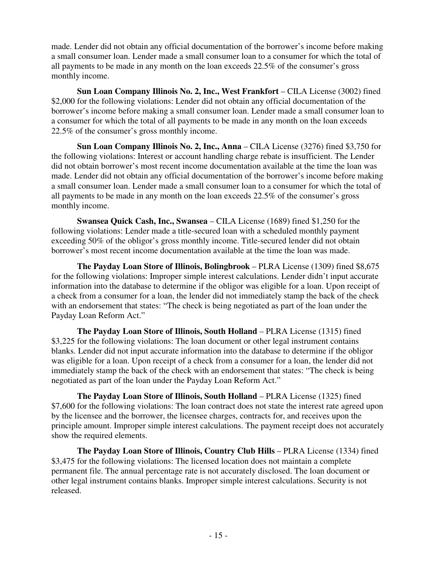made. Lender did not obtain any official documentation of the borrower's income before making a small consumer loan. Lender made a small consumer loan to a consumer for which the total of all payments to be made in any month on the loan exceeds 22.5% of the consumer's gross monthly income.

**Sun Loan Company Illinois No. 2, Inc., West Frankfort – CILA License (3002) fined** \$2,000 for the following violations: Lender did not obtain any official documentation of the borrower's income before making a small consumer loan. Lender made a small consumer loan to a consumer for which the total of all payments to be made in any month on the loan exceeds 22.5% of the consumer's gross monthly income.

 **Sun Loan Company Illinois No. 2, Inc., Anna** – CILA License (3276) fined \$3,750 for the following violations: Interest or account handling charge rebate is insufficient. The Lender did not obtain borrower's most recent income documentation available at the time the loan was made. Lender did not obtain any official documentation of the borrower's income before making a small consumer loan. Lender made a small consumer loan to a consumer for which the total of all payments to be made in any month on the loan exceeds 22.5% of the consumer's gross monthly income.

 **Swansea Quick Cash, Inc., Swansea** – CILA License (1689) fined \$1,250 for the following violations: Lender made a title-secured loan with a scheduled monthly payment exceeding 50% of the obligor's gross monthly income. Title-secured lender did not obtain borrower's most recent income documentation available at the time the loan was made.

 **The Payday Loan Store of Illinois, Bolingbrook** – PLRA License (1309) fined \$8,675 for the following violations: Improper simple interest calculations. Lender didn't input accurate information into the database to determine if the obligor was eligible for a loan. Upon receipt of a check from a consumer for a loan, the lender did not immediately stamp the back of the check with an endorsement that states: "The check is being negotiated as part of the loan under the Payday Loan Reform Act."

 **The Payday Loan Store of Illinois, South Holland** – PLRA License (1315) fined \$3,225 for the following violations: The loan document or other legal instrument contains blanks. Lender did not input accurate information into the database to determine if the obligor was eligible for a loan. Upon receipt of a check from a consumer for a loan, the lender did not immediately stamp the back of the check with an endorsement that states: "The check is being negotiated as part of the loan under the Payday Loan Reform Act."

 **The Payday Loan Store of Illinois, South Holland** – PLRA License (1325) fined \$7,600 for the following violations: The loan contract does not state the interest rate agreed upon by the licensee and the borrower, the licensee charges, contracts for, and receives upon the principle amount. Improper simple interest calculations. The payment receipt does not accurately show the required elements.

 **The Payday Loan Store of Illinois, Country Club Hills** – PLRA License (1334) fined \$3,475 for the following violations: The licensed location does not maintain a complete permanent file. The annual percentage rate is not accurately disclosed. The loan document or other legal instrument contains blanks. Improper simple interest calculations. Security is not released.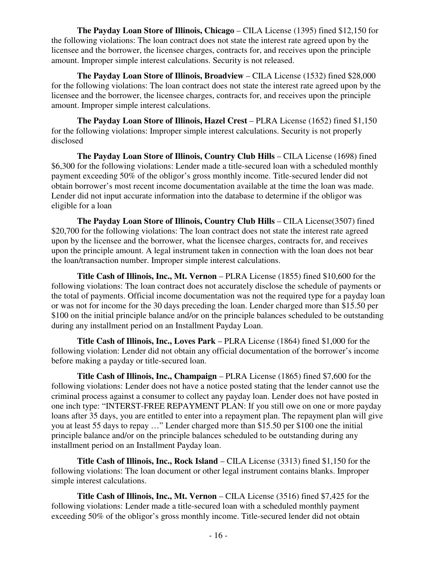**The Payday Loan Store of Illinois, Chicago** – CILA License (1395) fined \$12,150 for the following violations: The loan contract does not state the interest rate agreed upon by the licensee and the borrower, the licensee charges, contracts for, and receives upon the principle amount. Improper simple interest calculations. Security is not released.

 **The Payday Loan Store of Illinois, Broadview** – CILA License (1532) fined \$28,000 for the following violations: The loan contract does not state the interest rate agreed upon by the licensee and the borrower, the licensee charges, contracts for, and receives upon the principle amount. Improper simple interest calculations.

 **The Payday Loan Store of Illinois, Hazel Crest** – PLRA License (1652) fined \$1,150 for the following violations: Improper simple interest calculations. Security is not properly disclosed

 **The Payday Loan Store of Illinois, Country Club Hills** – CILA License (1698) fined \$6,300 for the following violations: Lender made a title-secured loan with a scheduled monthly payment exceeding 50% of the obligor's gross monthly income. Title-secured lender did not obtain borrower's most recent income documentation available at the time the loan was made. Lender did not input accurate information into the database to determine if the obligor was eligible for a loan

 **The Payday Loan Store of Illinois, Country Club Hills** – CILA License(3507) fined \$20,700 for the following violations: The loan contract does not state the interest rate agreed upon by the licensee and the borrower, what the licensee charges, contracts for, and receives upon the principle amount. A legal instrument taken in connection with the loan does not bear the loan/transaction number. Improper simple interest calculations.

 **Title Cash of Illinois, Inc., Mt. Vernon** – PLRA License (1855) fined \$10,600 for the following violations: The loan contract does not accurately disclose the schedule of payments or the total of payments. Official income documentation was not the required type for a payday loan or was not for income for the 30 days preceding the loan. Lender charged more than \$15.50 per \$100 on the initial principle balance and/or on the principle balances scheduled to be outstanding during any installment period on an Installment Payday Loan.

 **Title Cash of Illinois, Inc., Loves Park** – PLRA License (1864) fined \$1,000 for the following violation: Lender did not obtain any official documentation of the borrower's income before making a payday or title-secured loan.

 **Title Cash of Illinois, Inc., Champaign** – PLRA License (1865) fined \$7,600 for the following violations: Lender does not have a notice posted stating that the lender cannot use the criminal process against a consumer to collect any payday loan. Lender does not have posted in one inch type: "INTERST-FREE REPAYMENT PLAN: If you still owe on one or more payday loans after 35 days, you are entitled to enter into a repayment plan. The repayment plan will give you at least 55 days to repay …" Lender charged more than \$15.50 per \$100 one the initial principle balance and/or on the principle balances scheduled to be outstanding during any installment period on an Installment Payday loan.

 **Title Cash of Illinois, Inc., Rock Island** – CILA License (3313) fined \$1,150 for the following violations: The loan document or other legal instrument contains blanks. Improper simple interest calculations.

 **Title Cash of Illinois, Inc., Mt. Vernon** – CILA License (3516) fined \$7,425 for the following violations: Lender made a title-secured loan with a scheduled monthly payment exceeding 50% of the obligor's gross monthly income. Title-secured lender did not obtain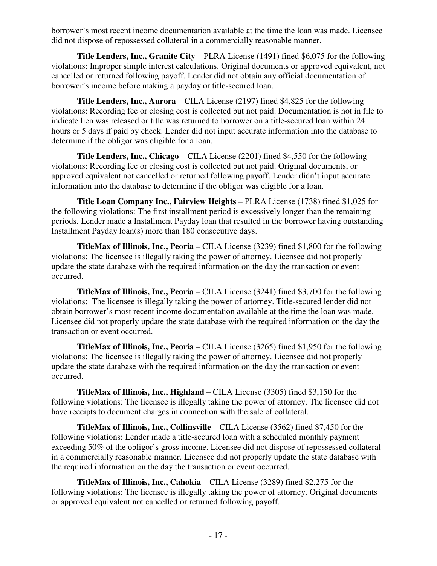borrower's most recent income documentation available at the time the loan was made. Licensee did not dispose of repossessed collateral in a commercially reasonable manner.

 **Title Lenders, Inc., Granite City** – PLRA License (1491) fined \$6,075 for the following violations: Improper simple interest calculations. Original documents or approved equivalent, not cancelled or returned following payoff. Lender did not obtain any official documentation of borrower's income before making a payday or title-secured loan.

 **Title Lenders, Inc., Aurora** – CILA License (2197) fined \$4,825 for the following violations: Recording fee or closing cost is collected but not paid. Documentation is not in file to indicate lien was released or title was returned to borrower on a title-secured loan within 24 hours or 5 days if paid by check. Lender did not input accurate information into the database to determine if the obligor was eligible for a loan.

 **Title Lenders, Inc., Chicago** – CILA License (2201) fined \$4,550 for the following violations: Recording fee or closing cost is collected but not paid. Original documents, or approved equivalent not cancelled or returned following payoff. Lender didn't input accurate information into the database to determine if the obligor was eligible for a loan.

 **Title Loan Company Inc., Fairview Heights** – PLRA License (1738) fined \$1,025 for the following violations: The first installment period is excessively longer than the remaining periods. Lender made a Installment Payday loan that resulted in the borrower having outstanding Installment Payday loan(s) more than 180 consecutive days.

 **TitleMax of Illinois, Inc., Peoria** – CILA License (3239) fined \$1,800 for the following violations: The licensee is illegally taking the power of attorney. Licensee did not properly update the state database with the required information on the day the transaction or event occurred.

 **TitleMax of Illinois, Inc., Peoria** – CILA License (3241) fined \$3,700 for the following violations: The licensee is illegally taking the power of attorney. Title-secured lender did not obtain borrower's most recent income documentation available at the time the loan was made. Licensee did not properly update the state database with the required information on the day the transaction or event occurred.

 **TitleMax of Illinois, Inc., Peoria** – CILA License (3265) fined \$1,950 for the following violations: The licensee is illegally taking the power of attorney. Licensee did not properly update the state database with the required information on the day the transaction or event occurred.

 **TitleMax of Illinois, Inc., Highland** – CILA License (3305) fined \$3,150 for the following violations: The licensee is illegally taking the power of attorney. The licensee did not have receipts to document charges in connection with the sale of collateral.

 **TitleMax of Illinois, Inc., Collinsville** – CILA License (3562) fined \$7,450 for the following violations: Lender made a title-secured loan with a scheduled monthly payment exceeding 50% of the obligor's gross income. Licensee did not dispose of repossessed collateral in a commercially reasonable manner. Licensee did not properly update the state database with the required information on the day the transaction or event occurred.

 **TitleMax of Illinois, Inc., Cahokia** – CILA License (3289) fined \$2,275 for the following violations: The licensee is illegally taking the power of attorney. Original documents or approved equivalent not cancelled or returned following payoff.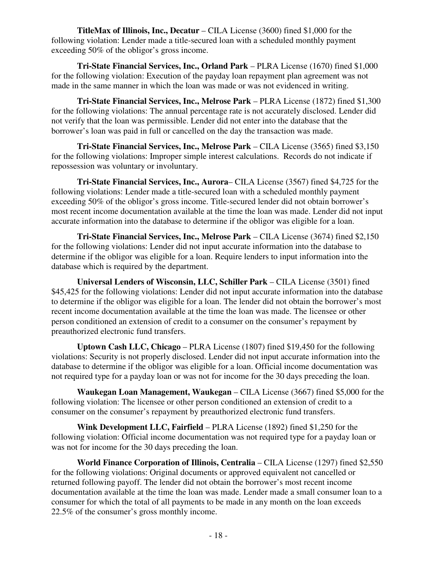**TitleMax of Illinois, Inc., Decatur** – CILA License (3600) fined \$1,000 for the following violation: Lender made a title-secured loan with a scheduled monthly payment exceeding 50% of the obligor's gross income.

 **Tri-State Financial Services, Inc., Orland Park** – PLRA License (1670) fined \$1,000 for the following violation: Execution of the payday loan repayment plan agreement was not made in the same manner in which the loan was made or was not evidenced in writing.

 **Tri-State Financial Services, Inc., Melrose Park** – PLRA License (1872) fined \$1,300 for the following violations: The annual percentage rate is not accurately disclosed. Lender did not verify that the loan was permissible. Lender did not enter into the database that the borrower's loan was paid in full or cancelled on the day the transaction was made.

 **Tri-State Financial Services, Inc., Melrose Park** – CILA License (3565) fined \$3,150 for the following violations: Improper simple interest calculations. Records do not indicate if repossession was voluntary or involuntary.

 **Tri-State Financial Services, Inc., Aurora**– CILA License (3567) fined \$4,725 for the following violations: Lender made a title-secured loan with a scheduled monthly payment exceeding 50% of the obligor's gross income. Title-secured lender did not obtain borrower's most recent income documentation available at the time the loan was made. Lender did not input accurate information into the database to determine if the obligor was eligible for a loan.

 **Tri-State Financial Services, Inc., Melrose Park** – CILA License (3674) fined \$2,150 for the following violations: Lender did not input accurate information into the database to determine if the obligor was eligible for a loan. Require lenders to input information into the database which is required by the department.

 **Universal Lenders of Wisconsin, LLC, Schiller Park** – CILA License (3501) fined \$45,425 for the following violations: Lender did not input accurate information into the database to determine if the obligor was eligible for a loan. The lender did not obtain the borrower's most recent income documentation available at the time the loan was made. The licensee or other person conditioned an extension of credit to a consumer on the consumer's repayment by preauthorized electronic fund transfers.

 **Uptown Cash LLC, Chicago** – PLRA License (1807) fined \$19,450 for the following violations: Security is not properly disclosed. Lender did not input accurate information into the database to determine if the obligor was eligible for a loan. Official income documentation was not required type for a payday loan or was not for income for the 30 days preceding the loan.

 **Waukegan Loan Management, Waukegan** – CILA License (3667) fined \$5,000 for the following violation: The licensee or other person conditioned an extension of credit to a consumer on the consumer's repayment by preauthorized electronic fund transfers.

 **Wink Development LLC, Fairfield** – PLRA License (1892) fined \$1,250 for the following violation: Official income documentation was not required type for a payday loan or was not for income for the 30 days preceding the loan.

 **World Finance Corporation of Illinois, Centralia** – CILA License (1297) fined \$2,550 for the following violations: Original documents or approved equivalent not cancelled or returned following payoff. The lender did not obtain the borrower's most recent income documentation available at the time the loan was made. Lender made a small consumer loan to a consumer for which the total of all payments to be made in any month on the loan exceeds 22.5% of the consumer's gross monthly income.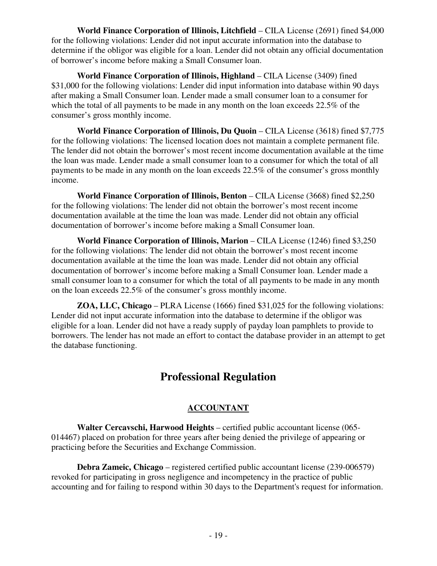**World Finance Corporation of Illinois, Litchfield** – CILA License (2691) fined \$4,000 for the following violations: Lender did not input accurate information into the database to determine if the obligor was eligible for a loan. Lender did not obtain any official documentation of borrower's income before making a Small Consumer loan.

 **World Finance Corporation of Illinois, Highland** – CILA License (3409) fined \$31,000 for the following violations: Lender did input information into database within 90 days after making a Small Consumer loan. Lender made a small consumer loan to a consumer for which the total of all payments to be made in any month on the loan exceeds 22.5% of the consumer's gross monthly income.

 **World Finance Corporation of Illinois, Du Quoin** – CILA License (3618) fined \$7,775 for the following violations: The licensed location does not maintain a complete permanent file. The lender did not obtain the borrower's most recent income documentation available at the time the loan was made. Lender made a small consumer loan to a consumer for which the total of all payments to be made in any month on the loan exceeds 22.5% of the consumer's gross monthly income.

**World Finance Corporation of Illinois, Benton – CILA License (3668) fined \$2,250** for the following violations: The lender did not obtain the borrower's most recent income documentation available at the time the loan was made. Lender did not obtain any official documentation of borrower's income before making a Small Consumer loan.

**World Finance Corporation of Illinois, Marion – CILA License (1246) fined \$3,250** for the following violations: The lender did not obtain the borrower's most recent income documentation available at the time the loan was made. Lender did not obtain any official documentation of borrower's income before making a Small Consumer loan. Lender made a small consumer loan to a consumer for which the total of all payments to be made in any month on the loan exceeds 22.5% of the consumer's gross monthly income.

 **ZOA, LLC, Chicago** – PLRA License (1666) fined \$31,025 for the following violations: Lender did not input accurate information into the database to determine if the obligor was eligible for a loan. Lender did not have a ready supply of payday loan pamphlets to provide to borrowers. The lender has not made an effort to contact the database provider in an attempt to get the database functioning.

# **Professional Regulation**

## **ACCOUNTANT**

 **Walter Cercavschi, Harwood Heights** – certified public accountant license (065- 014467) placed on probation for three years after being denied the privilege of appearing or practicing before the Securities and Exchange Commission.

 **Debra Zameic, Chicago** – registered certified public accountant license (239-006579) revoked for participating in gross negligence and incompetency in the practice of public accounting and for failing to respond within 30 days to the Department's request for information.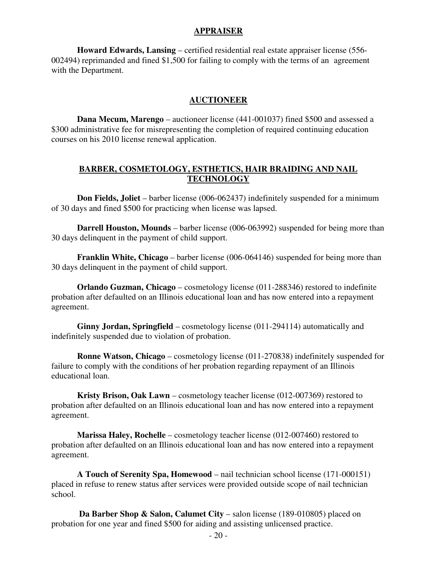#### **APPRAISER**

 **Howard Edwards, Lansing** – certified residential real estate appraiser license (556- 002494) reprimanded and fined \$1,500 for failing to comply with the terms of an agreement with the Department.

#### **AUCTIONEER**

 **Dana Mecum, Marengo** – auctioneer license (441-001037) fined \$500 and assessed a \$300 administrative fee for misrepresenting the completion of required continuing education courses on his 2010 license renewal application.

#### **BARBER, COSMETOLOGY, ESTHETICS, HAIR BRAIDING AND NAIL TECHNOLOGY**

 **Don Fields, Joliet** – barber license (006-062437) indefinitely suspended for a minimum of 30 days and fined \$500 for practicing when license was lapsed.

 **Darrell Houston, Mounds** – barber license (006-063992) suspended for being more than 30 days delinquent in the payment of child support.

**Franklin White, Chicago** – barber license (006-064146) suspended for being more than 30 days delinquent in the payment of child support.

 **Orlando Guzman, Chicago** – cosmetology license (011-288346) restored to indefinite probation after defaulted on an Illinois educational loan and has now entered into a repayment agreement.

 **Ginny Jordan, Springfield** – cosmetology license (011-294114) automatically and indefinitely suspended due to violation of probation.

 **Ronne Watson, Chicago** – cosmetology license (011-270838) indefinitely suspended for failure to comply with the conditions of her probation regarding repayment of an Illinois educational loan.

 **Kristy Brison, Oak Lawn** – cosmetology teacher license (012-007369) restored to probation after defaulted on an Illinois educational loan and has now entered into a repayment agreement.

 **Marissa Haley, Rochelle** – cosmetology teacher license (012-007460) restored to probation after defaulted on an Illinois educational loan and has now entered into a repayment agreement.

 **A Touch of Serenity Spa, Homewood** – nail technician school license (171-000151) placed in refuse to renew status after services were provided outside scope of nail technician school.

 **Da Barber Shop & Salon, Calumet City** – salon license (189-010805) placed on probation for one year and fined \$500 for aiding and assisting unlicensed practice.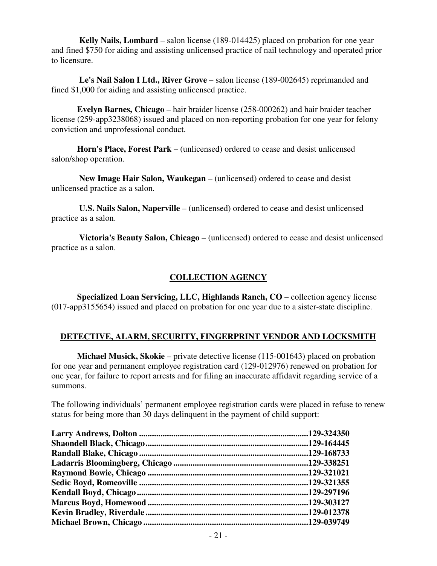**Kelly Nails, Lombard** – salon license (189-014425) placed on probation for one year and fined \$750 for aiding and assisting unlicensed practice of nail technology and operated prior to licensure.

 **Le's Nail Salon I Ltd., River Grove** – salon license (189-002645) reprimanded and fined \$1,000 for aiding and assisting unlicensed practice.

 **Evelyn Barnes, Chicago** – hair braider license (258-000262) and hair braider teacher license (259-app3238068) issued and placed on non-reporting probation for one year for felony conviction and unprofessional conduct.

 **Horn's Place, Forest Park** – (unlicensed) ordered to cease and desist unlicensed salon/shop operation.

 **New Image Hair Salon, Waukegan** – (unlicensed) ordered to cease and desist unlicensed practice as a salon.

 **U.S. Nails Salon, Naperville** – (unlicensed) ordered to cease and desist unlicensed practice as a salon.

 **Victoria's Beauty Salon, Chicago** – (unlicensed) ordered to cease and desist unlicensed practice as a salon.

#### **COLLECTION AGENCY**

 **Specialized Loan Servicing, LLC, Highlands Ranch, CO** – collection agency license (017-app3155654) issued and placed on probation for one year due to a sister-state discipline.

## **DETECTIVE, ALARM, SECURITY, FINGERPRINT VENDOR AND LOCKSMITH**

 **Michael Musick, Skokie** – private detective license (115-001643) placed on probation for one year and permanent employee registration card (129-012976) renewed on probation for one year, for failure to report arrests and for filing an inaccurate affidavit regarding service of a summons.

The following individuals' permanent employee registration cards were placed in refuse to renew status for being more than 30 days delinquent in the payment of child support: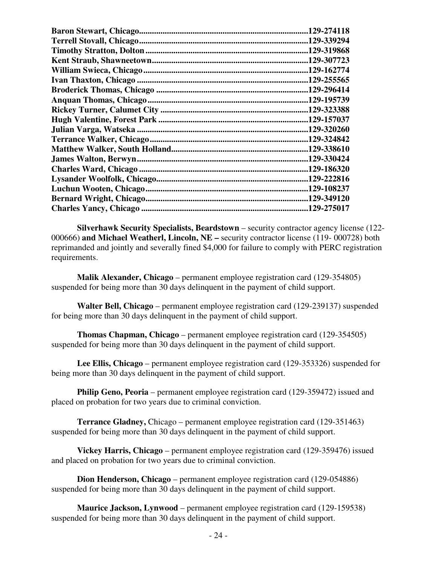| 129-274118  |
|-------------|
| .129-339294 |
| .129-319868 |
| .129-307723 |
| .129-162774 |
| .129-255565 |
| .129-296414 |
|             |
| .129-323388 |
| .129-157037 |
| .129-320260 |
| .129-324842 |
| .129-338610 |
| .129-330424 |
| .129-186320 |
| .129-222816 |
| 129-108237. |
| .129-349120 |
| .129-275017 |

 **Silverhawk Security Specialists, Beardstown** – security contractor agency license (122- 000666) **and Michael Weatherl, Lincoln, NE –** security contractor license (119- 000728) both reprimanded and jointly and severally fined \$4,000 for failure to comply with PERC registration requirements.

 **Malik Alexander, Chicago** – permanent employee registration card (129-354805) suspended for being more than 30 days delinquent in the payment of child support.

 **Walter Bell, Chicago** – permanent employee registration card (129-239137) suspended for being more than 30 days delinquent in the payment of child support.

 **Thomas Chapman, Chicago** – permanent employee registration card (129-354505) suspended for being more than 30 days delinquent in the payment of child support.

 **Lee Ellis, Chicago** – permanent employee registration card (129-353326) suspended for being more than 30 days delinquent in the payment of child support.

**Philip Geno, Peoria** – permanent employee registration card (129-359472) issued and placed on probation for two years due to criminal conviction.

 **Terrance Gladney,** Chicago – permanent employee registration card (129-351463) suspended for being more than 30 days delinquent in the payment of child support.

 **Vickey Harris, Chicago** – permanent employee registration card (129-359476) issued and placed on probation for two years due to criminal conviction.

 **Dion Henderson, Chicago** – permanent employee registration card (129-054886) suspended for being more than 30 days delinquent in the payment of child support.

 **Maurice Jackson, Lynwood** – permanent employee registration card (129-159538) suspended for being more than 30 days delinquent in the payment of child support.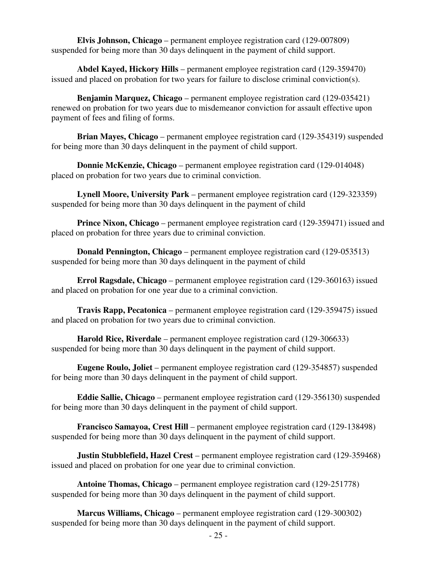**Elvis Johnson, Chicago** – permanent employee registration card (129-007809) suspended for being more than 30 days delinquent in the payment of child support.

 **Abdel Kayed, Hickory Hills** – permanent employee registration card (129-359470) issued and placed on probation for two years for failure to disclose criminal conviction(s).

 **Benjamin Marquez, Chicago** – permanent employee registration card (129-035421) renewed on probation for two years due to misdemeanor conviction for assault effective upon payment of fees and filing of forms.

 **Brian Mayes, Chicago** – permanent employee registration card (129-354319) suspended for being more than 30 days delinquent in the payment of child support.

 **Donnie McKenzie, Chicago** – permanent employee registration card (129-014048) placed on probation for two years due to criminal conviction.

 **Lynell Moore, University Park** – permanent employee registration card (129-323359) suspended for being more than 30 days delinquent in the payment of child

**Prince Nixon, Chicago** – permanent employee registration card (129-359471) issued and placed on probation for three years due to criminal conviction.

 **Donald Pennington, Chicago** – permanent employee registration card (129-053513) suspended for being more than 30 days delinquent in the payment of child

 **Errol Ragsdale, Chicago** – permanent employee registration card (129-360163) issued and placed on probation for one year due to a criminal conviction.

 **Travis Rapp, Pecatonica** – permanent employee registration card (129-359475) issued and placed on probation for two years due to criminal conviction.

 **Harold Rice, Riverdale** – permanent employee registration card (129-306633) suspended for being more than 30 days delinquent in the payment of child support.

 **Eugene Roulo, Joliet** – permanent employee registration card (129-354857) suspended for being more than 30 days delinquent in the payment of child support.

 **Eddie Sallie, Chicago** – permanent employee registration card (129-356130) suspended for being more than 30 days delinquent in the payment of child support.

 **Francisco Samayoa, Crest Hill** – permanent employee registration card (129-138498) suspended for being more than 30 days delinquent in the payment of child support.

**Justin Stubblefield, Hazel Crest** – permanent employee registration card (129-359468) issued and placed on probation for one year due to criminal conviction.

 **Antoine Thomas, Chicago** – permanent employee registration card (129-251778) suspended for being more than 30 days delinquent in the payment of child support.

 **Marcus Williams, Chicago** – permanent employee registration card (129-300302) suspended for being more than 30 days delinquent in the payment of child support.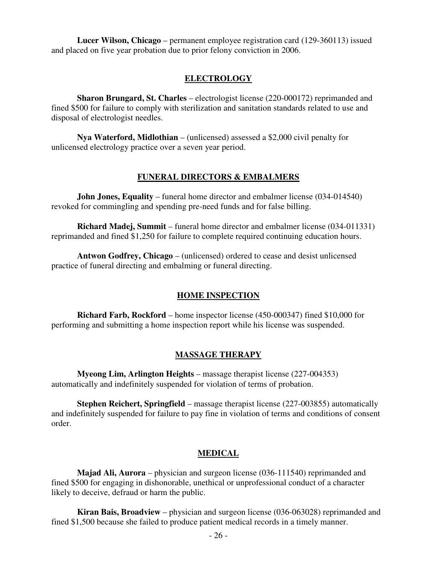**Lucer Wilson, Chicago** – permanent employee registration card (129-360113) issued and placed on five year probation due to prior felony conviction in 2006.

#### **ELECTROLOGY**

 **Sharon Brungard, St. Charles** – electrologist license (220-000172) reprimanded and fined \$500 for failure to comply with sterilization and sanitation standards related to use and disposal of electrologist needles.

 **Nya Waterford, Midlothian** – (unlicensed) assessed a \$2,000 civil penalty for unlicensed electrology practice over a seven year period.

#### **FUNERAL DIRECTORS & EMBALMERS**

**John Jones, Equality** – funeral home director and embalmer license (034-014540) revoked for commingling and spending pre-need funds and for false billing.

 **Richard Madej, Summit** – funeral home director and embalmer license (034-011331) reprimanded and fined \$1,250 for failure to complete required continuing education hours.

 **Antwon Godfrey, Chicago** – (unlicensed) ordered to cease and desist unlicensed practice of funeral directing and embalming or funeral directing.

#### **HOME INSPECTION**

 **Richard Farb, Rockford** – home inspector license (450-000347) fined \$10,000 for performing and submitting a home inspection report while his license was suspended.

#### **MASSAGE THERAPY**

 **Myeong Lim, Arlington Heights** – massage therapist license (227-004353) automatically and indefinitely suspended for violation of terms of probation.

 **Stephen Reichert, Springfield** – massage therapist license (227-003855) automatically and indefinitely suspended for failure to pay fine in violation of terms and conditions of consent order.

#### **MEDICAL**

 **Majad Ali, Aurora** – physician and surgeon license (036-111540) reprimanded and fined \$500 for engaging in dishonorable, unethical or unprofessional conduct of a character likely to deceive, defraud or harm the public.

 **Kiran Bais, Broadview** – physician and surgeon license (036-063028) reprimanded and fined \$1,500 because she failed to produce patient medical records in a timely manner.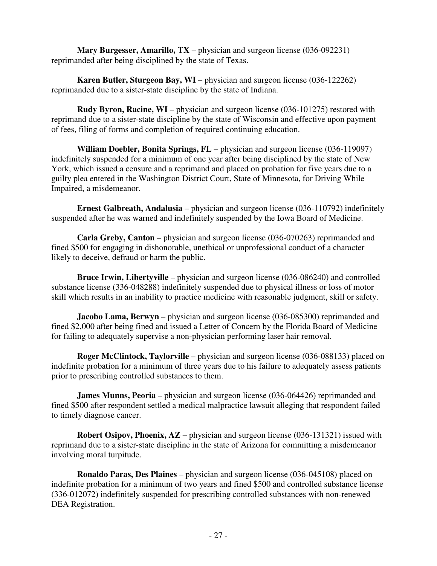**Mary Burgesser, Amarillo, TX** – physician and surgeon license (036-092231) reprimanded after being disciplined by the state of Texas.

**Karen Butler, Sturgeon Bay, WI** – physician and surgeon license (036-122262) reprimanded due to a sister-state discipline by the state of Indiana.

 **Rudy Byron, Racine, WI** – physician and surgeon license (036-101275) restored with reprimand due to a sister-state discipline by the state of Wisconsin and effective upon payment of fees, filing of forms and completion of required continuing education.

 **William Doebler, Bonita Springs, FL** – physician and surgeon license (036-119097) indefinitely suspended for a minimum of one year after being disciplined by the state of New York, which issued a censure and a reprimand and placed on probation for five years due to a guilty plea entered in the Washington District Court, State of Minnesota, for Driving While Impaired, a misdemeanor.

 **Ernest Galbreath, Andalusia** – physician and surgeon license (036-110792) indefinitely suspended after he was warned and indefinitely suspended by the Iowa Board of Medicine.

 **Carla Greby, Canton** – physician and surgeon license (036-070263) reprimanded and fined \$500 for engaging in dishonorable, unethical or unprofessional conduct of a character likely to deceive, defraud or harm the public.

 **Bruce Irwin, Libertyville** – physician and surgeon license (036-086240) and controlled substance license (336-048288) indefinitely suspended due to physical illness or loss of motor skill which results in an inability to practice medicine with reasonable judgment, skill or safety.

**Jacobo Lama, Berwyn** – physician and surgeon license (036-085300) reprimanded and fined \$2,000 after being fined and issued a Letter of Concern by the Florida Board of Medicine for failing to adequately supervise a non-physician performing laser hair removal.

 **Roger McClintock, Taylorville** – physician and surgeon license (036-088133) placed on indefinite probation for a minimum of three years due to his failure to adequately assess patients prior to prescribing controlled substances to them.

**James Munns, Peoria** – physician and surgeon license (036-064426) reprimanded and fined \$500 after respondent settled a medical malpractice lawsuit alleging that respondent failed to timely diagnose cancer.

 **Robert Osipov, Phoenix, AZ** – physician and surgeon license (036-131321) issued with reprimand due to a sister-state discipline in the state of Arizona for committing a misdemeanor involving moral turpitude.

 **Ronaldo Paras, Des Plaines** – physician and surgeon license (036-045108) placed on indefinite probation for a minimum of two years and fined \$500 and controlled substance license (336-012072) indefinitely suspended for prescribing controlled substances with non-renewed DEA Registration.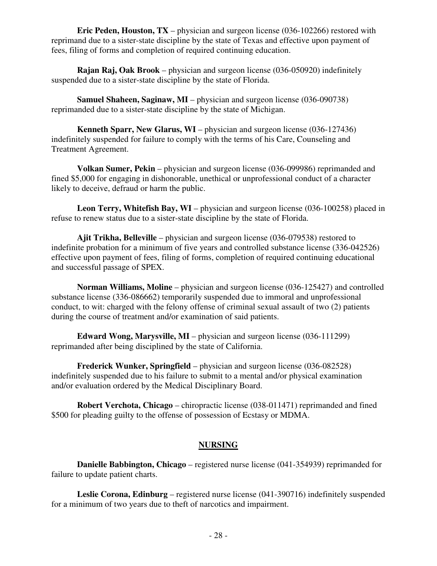**Eric Peden, Houston, TX** – physician and surgeon license (036-102266) restored with reprimand due to a sister-state discipline by the state of Texas and effective upon payment of fees, filing of forms and completion of required continuing education.

 **Rajan Raj, Oak Brook** – physician and surgeon license (036-050920) indefinitely suspended due to a sister-state discipline by the state of Florida.

**Samuel Shaheen, Saginaw, MI** – physician and surgeon license (036-090738) reprimanded due to a sister-state discipline by the state of Michigan.

 **Kenneth Sparr, New Glarus, WI** – physician and surgeon license (036-127436) indefinitely suspended for failure to comply with the terms of his Care, Counseling and Treatment Agreement.

 **Volkan Sumer, Pekin** – physician and surgeon license (036-099986) reprimanded and fined \$5,000 for engaging in dishonorable, unethical or unprofessional conduct of a character likely to deceive, defraud or harm the public.

 **Leon Terry, Whitefish Bay, WI** – physician and surgeon license (036-100258) placed in refuse to renew status due to a sister-state discipline by the state of Florida.

 **Ajit Trikha, Belleville** – physician and surgeon license (036-079538) restored to indefinite probation for a minimum of five years and controlled substance license (336-042526) effective upon payment of fees, filing of forms, completion of required continuing educational and successful passage of SPEX.

 **Norman Williams, Moline** – physician and surgeon license (036-125427) and controlled substance license (336-086662) temporarily suspended due to immoral and unprofessional conduct, to wit: charged with the felony offense of criminal sexual assault of two (2) patients during the course of treatment and/or examination of said patients.

 **Edward Wong, Marysville, MI** – physician and surgeon license (036-111299) reprimanded after being disciplined by the state of California.

**Frederick Wunker, Springfield** – physician and surgeon license (036-082528) indefinitely suspended due to his failure to submit to a mental and/or physical examination and/or evaluation ordered by the Medical Disciplinary Board.

 **Robert Verchota, Chicago** – chiropractic license (038-011471) reprimanded and fined \$500 for pleading guilty to the offense of possession of Ecstasy or MDMA.

#### **NURSING**

 **Danielle Babbington, Chicago** – registered nurse license (041-354939) reprimanded for failure to update patient charts.

 **Leslie Corona, Edinburg** – registered nurse license (041-390716) indefinitely suspended for a minimum of two years due to theft of narcotics and impairment.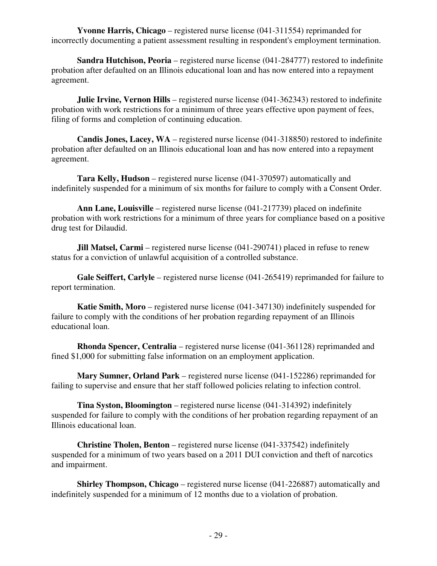**Yvonne Harris, Chicago** – registered nurse license (041-311554) reprimanded for incorrectly documenting a patient assessment resulting in respondent's employment termination.

**Sandra Hutchison, Peoria** – registered nurse license (041-284777) restored to indefinite probation after defaulted on an Illinois educational loan and has now entered into a repayment agreement.

**Julie Irvine, Vernon Hills** – registered nurse license (041-362343) restored to indefinite probation with work restrictions for a minimum of three years effective upon payment of fees, filing of forms and completion of continuing education.

 **Candis Jones, Lacey, WA** – registered nurse license (041-318850) restored to indefinite probation after defaulted on an Illinois educational loan and has now entered into a repayment agreement.

 **Tara Kelly, Hudson** – registered nurse license (041-370597) automatically and indefinitely suspended for a minimum of six months for failure to comply with a Consent Order.

 **Ann Lane, Louisville** – registered nurse license (041-217739) placed on indefinite probation with work restrictions for a minimum of three years for compliance based on a positive drug test for Dilaudid.

**Jill Matsel, Carmi** – registered nurse license (041-290741) placed in refuse to renew status for a conviction of unlawful acquisition of a controlled substance.

 **Gale Seiffert, Carlyle** – registered nurse license (041-265419) reprimanded for failure to report termination.

 **Katie Smith, Moro** – registered nurse license (041-347130) indefinitely suspended for failure to comply with the conditions of her probation regarding repayment of an Illinois educational loan.

 **Rhonda Spencer, Centralia** – registered nurse license (041-361128) reprimanded and fined \$1,000 for submitting false information on an employment application.

 **Mary Sumner, Orland Park** – registered nurse license (041-152286) reprimanded for failing to supervise and ensure that her staff followed policies relating to infection control.

 **Tina Syston, Bloomington** – registered nurse license (041-314392) indefinitely suspended for failure to comply with the conditions of her probation regarding repayment of an Illinois educational loan.

 **Christine Tholen, Benton** – registered nurse license (041-337542) indefinitely suspended for a minimum of two years based on a 2011 DUI conviction and theft of narcotics and impairment.

**Shirley Thompson, Chicago** – registered nurse license (041-226887) automatically and indefinitely suspended for a minimum of 12 months due to a violation of probation.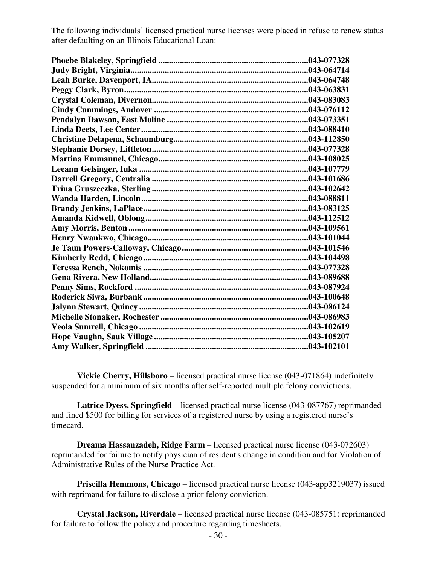The following individuals' licensed practical nurse licenses were placed in refuse to renew status after defaulting on an Illinois Educational Loan:

| .043-077328 |
|-------------|
|             |
|             |
|             |
|             |
|             |
|             |
|             |
|             |
|             |
|             |
|             |
|             |
|             |
|             |
|             |
|             |
|             |
|             |
|             |
|             |
|             |
|             |
|             |
|             |
|             |
|             |
|             |
|             |
|             |

**Vickie Cherry, Hillsboro** – licensed practical nurse license (043-071864) indefinitely suspended for a minimum of six months after self-reported multiple felony convictions.

**Latrice Dyess, Springfield** – licensed practical nurse license (043-087767) reprimanded and fined \$500 for billing for services of a registered nurse by using a registered nurse's timecard.

**Dreama Hassanzadeh, Ridge Farm** – licensed practical nurse license (043-072603) reprimanded for failure to notify physician of resident's change in condition and for Violation of Administrative Rules of the Nurse Practice Act.

 **Priscilla Hemmons, Chicago** – licensed practical nurse license (043-app3219037) issued with reprimand for failure to disclose a prior felony conviction.

 **Crystal Jackson, Riverdale** – licensed practical nurse license (043-085751) reprimanded for failure to follow the policy and procedure regarding timesheets.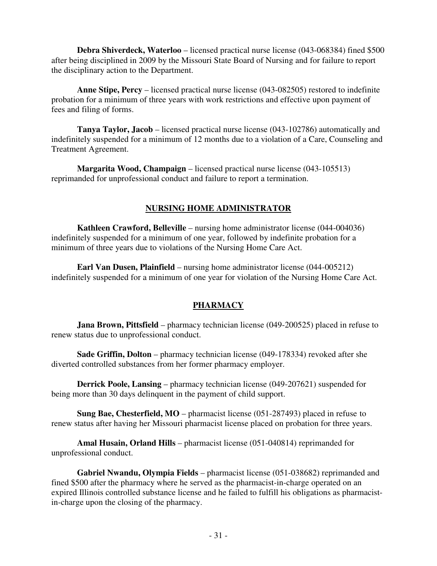**Debra Shiverdeck, Waterloo** – licensed practical nurse license (043-068384) fined \$500 after being disciplined in 2009 by the Missouri State Board of Nursing and for failure to report the disciplinary action to the Department.

 **Anne Stipe, Percy** – licensed practical nurse license (043-082505) restored to indefinite probation for a minimum of three years with work restrictions and effective upon payment of fees and filing of forms.

 **Tanya Taylor, Jacob** – licensed practical nurse license (043-102786) automatically and indefinitely suspended for a minimum of 12 months due to a violation of a Care, Counseling and Treatment Agreement.

 **Margarita Wood, Champaign** – licensed practical nurse license (043-105513) reprimanded for unprofessional conduct and failure to report a termination.

## **NURSING HOME ADMINISTRATOR**

 **Kathleen Crawford, Belleville** – nursing home administrator license (044-004036) indefinitely suspended for a minimum of one year, followed by indefinite probation for a minimum of three years due to violations of the Nursing Home Care Act.

 **Earl Van Dusen, Plainfield** – nursing home administrator license (044-005212) indefinitely suspended for a minimum of one year for violation of the Nursing Home Care Act.

## **PHARMACY**

**Jana Brown, Pittsfield** – pharmacy technician license (049-200525) placed in refuse to renew status due to unprofessional conduct.

 **Sade Griffin, Dolton** – pharmacy technician license (049-178334) revoked after she diverted controlled substances from her former pharmacy employer.

 **Derrick Poole, Lansing** – pharmacy technician license (049-207621) suspended for being more than 30 days delinquent in the payment of child support.

 **Sung Bae, Chesterfield, MO** – pharmacist license (051-287493) placed in refuse to renew status after having her Missouri pharmacist license placed on probation for three years.

 **Amal Husain, Orland Hills** – pharmacist license (051-040814) reprimanded for unprofessional conduct.

 **Gabriel Nwandu, Olympia Fields** – pharmacist license (051-038682) reprimanded and fined \$500 after the pharmacy where he served as the pharmacist-in-charge operated on an expired Illinois controlled substance license and he failed to fulfill his obligations as pharmacistin-charge upon the closing of the pharmacy.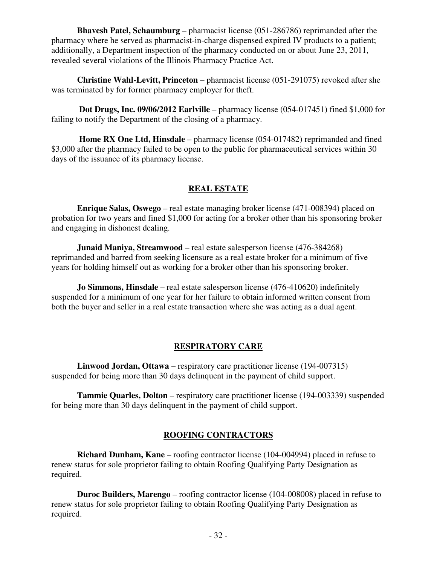**Bhavesh Patel, Schaumburg** – pharmacist license (051-286786) reprimanded after the pharmacy where he served as pharmacist-in-charge dispensed expired IV products to a patient; additionally, a Department inspection of the pharmacy conducted on or about June 23, 2011, revealed several violations of the Illinois Pharmacy Practice Act.

 **Christine Wahl-Levitt, Princeton** – pharmacist license (051-291075) revoked after she was terminated by for former pharmacy employer for theft.

 **Dot Drugs, Inc. 09/06/2012 Earlville** – pharmacy license (054-017451) fined \$1,000 for failing to notify the Department of the closing of a pharmacy.

 **Home RX One Ltd, Hinsdale** – pharmacy license (054-017482) reprimanded and fined \$3,000 after the pharmacy failed to be open to the public for pharmaceutical services within 30 days of the issuance of its pharmacy license.

## **REAL ESTATE**

 **Enrique Salas, Oswego** – real estate managing broker license (471-008394) placed on probation for two years and fined \$1,000 for acting for a broker other than his sponsoring broker and engaging in dishonest dealing.

 **Junaid Maniya, Streamwood** – real estate salesperson license (476-384268) reprimanded and barred from seeking licensure as a real estate broker for a minimum of five years for holding himself out as working for a broker other than his sponsoring broker.

 **Jo Simmons, Hinsdale** – real estate salesperson license (476-410620) indefinitely suspended for a minimum of one year for her failure to obtain informed written consent from both the buyer and seller in a real estate transaction where she was acting as a dual agent.

# **RESPIRATORY CARE**

 **Linwood Jordan, Ottawa** – respiratory care practitioner license (194-007315) suspended for being more than 30 days delinquent in the payment of child support.

 **Tammie Quarles, Dolton** – respiratory care practitioner license (194-003339) suspended for being more than 30 days delinquent in the payment of child support.

# **ROOFING CONTRACTORS**

 **Richard Dunham, Kane** – roofing contractor license (104-004994) placed in refuse to renew status for sole proprietor failing to obtain Roofing Qualifying Party Designation as required.

 **Duroc Builders, Marengo** – roofing contractor license (104-008008) placed in refuse to renew status for sole proprietor failing to obtain Roofing Qualifying Party Designation as required.